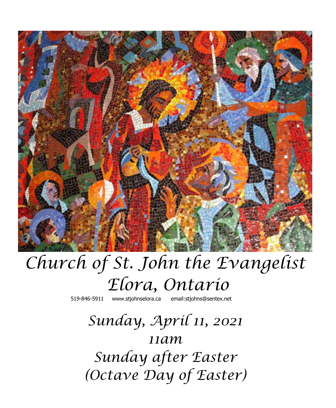

# *Church of St. John the Evangelist Elora, Ontario*

519-846-5911 [www.stjohnselora.ca email:stjohns@sentex.net](http://www.stjohnselora.ca%20%20%20%20%20%20email:stjohns@sentex.net)

# *Sunday, April 11, 2021 11am Sunday after Easter (Octave Day of Easter)*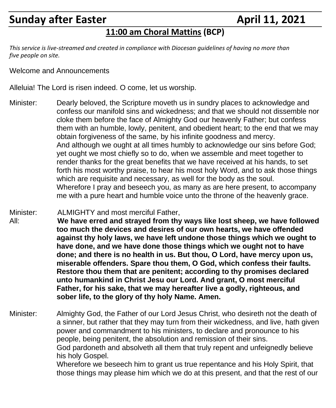## **Sunday after Easter April 11, 2021**

### **11:00 am Choral Mattins (BCP)**

*This service is live-streamed and created in compliance with Diocesan guidelines of having no more than five people on site.*

Welcome and Announcements

Alleluia! The Lord is risen indeed. O come, let us worship.

Minister: Dearly beloved, the Scripture moveth us in sundry places to acknowledge and confess our manifold sins and wickedness; and that we should not dissemble nor cloke them before the face of Almighty God our heavenly Father; but confess them with an humble, lowly, penitent, and obedient heart; to the end that we may obtain forgiveness of the same, by his infinite goodness and mercy. And although we ought at all times humbly to acknowledge our sins before God; yet ought we most chiefly so to do, when we assemble and meet together to render thanks for the great benefits that we have received at his hands, to set forth his most worthy praise, to hear his most holy Word, and to ask those things which are requisite and necessary, as well for the body as the soul. Wherefore I pray and beseech you, as many as are here present, to accompany me with a pure heart and humble voice unto the throne of the heavenly grace.

Minister: ALMIGHTY and most merciful Father, All: **We have erred and strayed from thy ways like lost sheep, we have followed too much the devices and desires of our own hearts, we have offended against thy holy laws, we have left undone those things which we ought to have done, and we have done those things which we ought not to have done; and there is no health in us. But thou, O Lord, have mercy upon us, miserable offenders. Spare thou them, O God, which confess their faults. Restore thou them that are penitent; according to thy promises declared unto humankind in Christ Jesu our Lord. And grant, O most merciful Father, for his sake, that we may hereafter live a godly, righteous, and sober life, to the glory of thy holy Name. Amen.**

Minister: Almighty God, the Father of our Lord Jesus Christ, who desireth not the death of a sinner, but rather that they may turn from their wickedness, and live, hath given power and commandment to his ministers, to declare and pronounce to his people, being penitent, the absolution and remission of their sins. God pardoneth and absolveth all them that truly repent and unfeignedly believe his holy Gospel. Wherefore we beseech him to grant us true repentance and his Holy Spirit, that those things may please him which we do at this present, and that the rest of our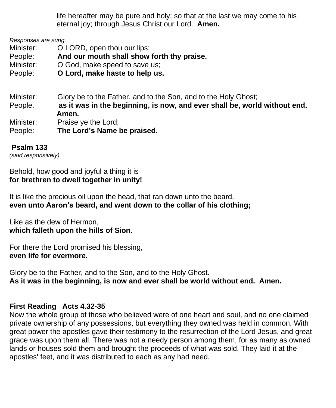life hereafter may be pure and holy; so that at the last we may come to his eternal joy; through Jesus Christ our Lord. **Amen.**

*Responses are sung.*

Minister: **O LORD**, open thou our lips;

People: **And our mouth shall show forth thy praise.**

Minister: O God, make speed to save us;

People: **O Lord, make haste to help us.**

Minister: Glory be to the Father, and to the Son, and to the Holy Ghost; People. **as it was in the beginning, is now, and ever shall be, world without end. Amen.** Minister: Praise ye the Lord; People: **The Lord's Name be praised.**

#### **Psalm 133**

*(said responsively)*

Behold, how good and joyful a thing it is **for brethren to dwell together in unity!**

It is like the precious oil upon the head, that ran down unto the beard, **even unto Aaron's beard, and went down to the collar of his clothing;**

Like as the dew of Hermon, **which falleth upon the hills of Sion.**

For there the Lord promised his blessing, **even life for evermore.**

Glory be to the Father, and to the Son, and to the Holy Ghost. **As it was in the beginning, is now and ever shall be world without end. Amen.**

#### **First Reading Acts 4.32-35**

Now the whole group of those who believed were of one heart and soul, and no one claimed private ownership of any possessions, but everything they owned was held in common. With great power the apostles gave their testimony to the resurrection of the Lord Jesus, and great grace was upon them all. There was not a needy person among them, for as many as owned lands or houses sold them and brought the proceeds of what was sold. They laid it at the apostles' feet, and it was distributed to each as any had need.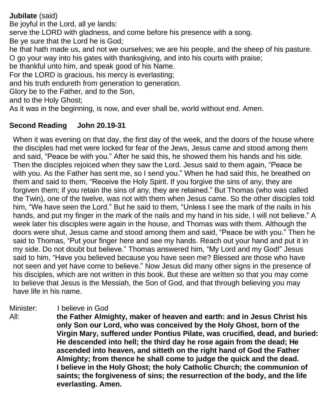**Jubilate** (said) Be joyful in the Lord, all ye lands: serve the LORD with gladness, and come before his presence with a song. Be ye sure that the Lord he is God; he that hath made us, and not we ourselves; we are his people, and the sheep of his pasture. O go your way into his gates with thanksgiving, and into his courts with praise; be thankful unto him, and speak good of his Name. For the LORD is gracious, his mercy is everlasting; and his truth endureth from generation to generation. Glory be to the Father, and to the Son, and to the Holy Ghost; As it was in the beginning, is now, and ever shall be, world without end. Amen.

#### **Second Reading John 20.19-31**

When it was evening on that day, the first day of the week, and the doors of the house where the disciples had met were locked for fear of the Jews, Jesus came and stood among them and said, "Peace be with you." After he said this, he showed them his hands and his side. Then the disciples rejoiced when they saw the Lord. Jesus said to them again, "Peace be with you. As the Father has sent me, so I send you." When he had said this, he breathed on them and said to them, "Receive the Holy Spirit. If you forgive the sins of any, they are forgiven them; if you retain the sins of any, they are retained." But Thomas (who was called the Twin), one of the twelve, was not with them when Jesus came. So the other disciples told him, "We have seen the Lord." But he said to them, "Unless I see the mark of the nails in his hands, and put my finger in the mark of the nails and my hand in his side, I will not believe." A week later his disciples were again in the house, and Thomas was with them. Although the doors were shut, Jesus came and stood among them and said, "Peace be with you." Then he said to Thomas, "Put your finger here and see my hands. Reach out your hand and put it in my side. Do not doubt but believe." Thomas answered him, "My Lord and my God!" Jesus said to him, "Have you believed because you have seen me? Blessed are those who have not seen and yet have come to believe." Now Jesus did many other signs in the presence of his disciples, which are not written in this book. But these are written so that you may come to believe that Jesus is the Messiah, the Son of God, and that through believing you may have life in his name.

#### Minister: I believe in God

All: **the Father Almighty, maker of heaven and earth: and in Jesus Christ his only Son our Lord, who was conceived by the Holy Ghost, born of the Virgin Mary, suffered under Pontius Pilate, was crucified, dead, and buried: He descended into hell; the third day he rose again from the dead; He ascended into heaven, and sitteth on the right hand of God the Father Almighty; from thence he shall come to judge the quick and the dead. I believe in the Holy Ghost; the holy Catholic Church; the communion of saints; the forgiveness of sins; the resurrection of the body, and the life everlasting. Amen.**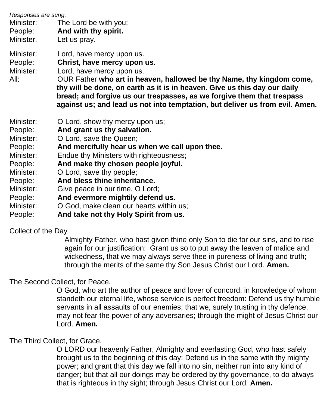| Responses are sung.<br>Minister:<br>People:<br>Minister.                                                                                     | The Lord be with you;<br>And with thy spirit.<br>Let us pray.                                                                                                                                                                                                                                                                                                                                                                                       |
|----------------------------------------------------------------------------------------------------------------------------------------------|-----------------------------------------------------------------------------------------------------------------------------------------------------------------------------------------------------------------------------------------------------------------------------------------------------------------------------------------------------------------------------------------------------------------------------------------------------|
| Minister:<br>People:<br>Minister:<br>All:                                                                                                    | Lord, have mercy upon us.<br>Christ, have mercy upon us.<br>Lord, have mercy upon us.<br>OUR Father who art in heaven, hallowed be thy Name, thy kingdom come,<br>thy will be done, on earth as it is in heaven. Give us this day our daily<br>bread; and forgive us our trespasses, as we forgive them that trespass<br>against us; and lead us not into temptation, but deliver us from evil. Amen.                                               |
| Minister:<br>People:<br>Minister:<br>People:<br>Minister:<br>People:<br>Minister:<br>People:<br>Minister:<br>People:<br>Minister:<br>People: | O Lord, show thy mercy upon us;<br>And grant us thy salvation.<br>O Lord, save the Queen;<br>And mercifully hear us when we call upon thee.<br>Endue thy Ministers with righteousness;<br>And make thy chosen people joyful.<br>O Lord, save thy people;<br>And bless thine inheritance.<br>Give peace in our time, O Lord;<br>And evermore mightily defend us.<br>O God, make clean our hearts within us;<br>And take not thy Holy Spirit from us. |

#### Collect of the Day

 Almighty Father, who hast given thine only Son to die for our sins, and to rise again for our justification: Grant us so to put away the leaven of malice and wickedness, that we may always serve thee in pureness of living and truth; through the merits of the same thy Son Jesus Christ our Lord. **Amen.**

The Second Collect, for Peace.

O God, who art the author of peace and lover of concord, in knowledge of whom standeth our eternal life, whose service is perfect freedom: Defend us thy humble servants in all assaults of our enemies; that we, surely trusting in thy defence, may not fear the power of any adversaries; through the might of Jesus Christ our Lord. **Amen.**

#### The Third Collect, for Grace.

O LORD our heavenly Father, Almighty and everlasting God, who hast safely brought us to the beginning of this day: Defend us in the same with thy mighty power; and grant that this day we fall into no sin, neither run into any kind of danger; but that all our doings may be ordered by thy governance, to do always that is righteous in thy sight; through Jesus Christ our Lord. **Amen.**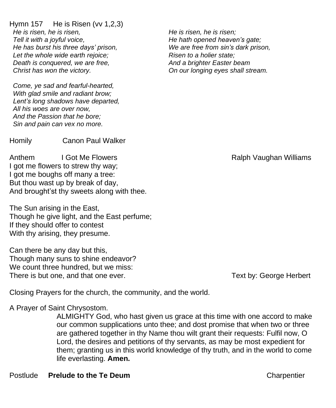Hymn 157 He is Risen (vv 1,2,3) *He is risen, he is risen, Tell it with a joyful voice, He has burst his three days' prison, Let the whole wide earth rejoice; Death is conquered, we are free, Christ has won the victory.*

*Come, ye sad and fearful-hearted, With glad smile and radiant brow; Lent's long shadows have departed, All his woes are over now, And the Passion that he bore; Sin and pain can vex no more.*

Homily Canon Paul Walker

Anthem I Got Me Flowers **I Got Me Flowers Ralph Vaughan Williams** I got me flowers to strew thy way; I got me boughs off many a tree: But thou wast up by break of day, And brought'st thy sweets along with thee.

The Sun arising in the East, Though he give light, and the East perfume; If they should offer to contest With thy arising, they presume.

Can there be any day but this, Though many suns to shine endeavor? We count three hundred, but we miss: There is but one, and that one ever. There is but one, and that one ever.

Closing Prayers for the church, the community, and the world.

A Prayer of Saint Chrysostom.

ALMIGHTY God, who hast given us grace at this time with one accord to make our common supplications unto thee; and dost promise that when two or three are gathered together in thy Name thou wilt grant their requests: Fulfil now, O Lord, the desires and petitions of thy servants, as may be most expedient for them; granting us in this world knowledge of thy truth, and in the world to come life everlasting. **Amen.**

*He is risen, he is risen; He hath opened heaven's gate; We are free from sin's dark prison, Risen to a holier state; And a brighter Easter beam On our longing eyes shall stream.*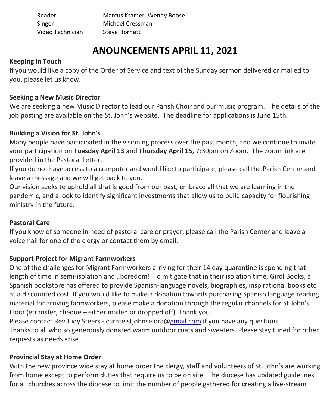Reader Marcus Kramer, Wendy Boose Singer Michael Cressman Video Technician Steve Hornett

### **ANOUNCEMENTS APRIL 11, 2021**

#### **Keeping in Touch**

If you would like a copy of the Order of Service and text of the Sunday sermon delivered or mailed to you, please let us know.

#### **Seeking a New Music Director**

We are seeking a new Music Director to lead our Parish Choir and our music program. The details of the job posting are available on the St. John's website. The deadline for applications is June 15th.

#### **Building a Vision for St. John's**

Many people have participated in the visioning process over the past month, and we continue to invite your participation on **Tuesday April 13** and **Thursday April 15,** 7:30pm on Zoom. The Zoom link are provided in the Pastoral Letter.

If you do not have access to a computer and would like to participate, please call the Parish Centre and leave a message and we will get back to you.

Our vision seeks to uphold all that is good from our past, embrace all that we are learning in the pandemic, and a look to identify significant investments that allow us to build capacity for flourishing ministry in the future.

#### **Pastoral Care**

If you know of someone in need of pastoral care or prayer, please call the Parish Center and leave a voicemail for one of the clergy or contact them by email.

#### **Support Project for Migrant Farmworkers**

One of the challenges for Migrant Farmworkers arriving for their 14 day quarantine is spending that length of time in semi-isolation and...boredom! To mitigate that in their isolation time, Girol Books, a Spanish bookstore has offered to provide Spanish-language novels, biographies, inspirational books etc at a discounted cost. If you would like to make a donation towards purchasing Spanish language reading material for arriving farmworkers, please make a donation through the regular channels for St John's Elora (etransfer, cheque – either mailed or dropped off). Thank you.

Please contact Rev Judy Steers - curate.stjohnselora[@gmail.com](http://gmail.com/) if you have any questions. Thanks to all who so generously donated warm outdoor coats and sweaters. Please stay tuned for other requests as needs arise.

#### **Provincial Stay at Home Order**

With the new province wide stay at home order the clergy, staff and volunteers of St. John's are working from home except to perform duties that require us to be on site. The diocese has updated guidelines for all churches across the diocese to limit the number of people gathered for creating a live-stream